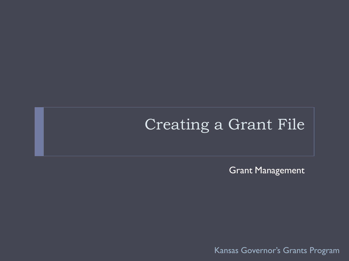## Creating a Grant File

Grant Management

Kansas Governor's Grants Program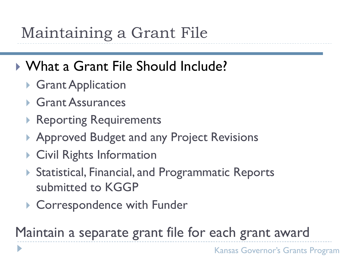# Maintaining a Grant File

## What a Grant File Should Include?

- ▶ Grant Application
- Grant Assurances
- ▶ Reporting Requirements
- ▶ Approved Budget and any Project Revisions
- ▶ Civil Rights Information
- ▶ Statistical, Financial, and Programmatic Reports submitted to KGGP
- ▶ Correspondence with Funder

Maintain a separate grant file for each grant award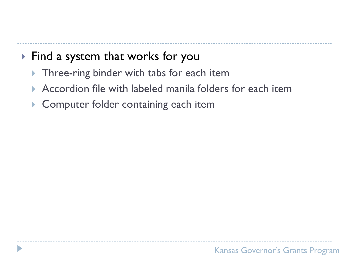### ▶ Find a system that works for you

- ▶ Three-ring binder with tabs for each item
- Accordion file with labeled manila folders for each item
- ▶ Computer folder containing each item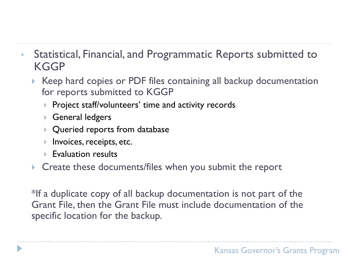- Statistical, Financial, and Programmatic Reports submitted to **KGGP** 
	- ▶ Keep hard copies or PDF files containing all backup documentation for reports submitted to KGGP
		- ▶ Project staff/volunteers' time and activity records
		- General ledgers
		- Queried reports from database
		- **Invoices, receipts, etc.**
		- $\blacktriangleright$  Evaluation results
	- **Create these documents/files when you submit the report**

\*If a duplicate copy of all backup documentation is not part of the Grant File, then the Grant File must include documentation of the specific location for the backup.